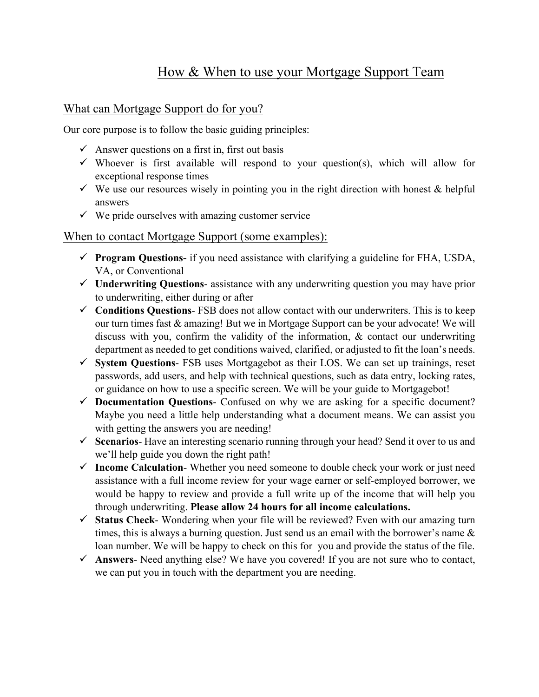## How & When to use your Mortgage Support Team

## What can Mortgage Support do for you?

Our core purpose is to follow the basic guiding principles:

- $\checkmark$  Answer questions on a first in, first out basis
- $\checkmark$  Whoever is first available will respond to your question(s), which will allow for exceptional response times
- $\checkmark$  We use our resources wisely in pointing you in the right direction with honest & helpful answers
- $\checkmark$  We pride ourselves with amazing customer service

## When to contact Mortgage Support (some examples):

- **Program Questions-** if you need assistance with clarifying a guideline for FHA, USDA, VA, or Conventional
- **Underwriting Questions** assistance with any underwriting question you may have prior to underwriting, either during or after
- **Conditions Questions** FSB does not allow contact with our underwriters. This is to keep our turn times fast & amazing! But we in Mortgage Support can be your advocate! We will discuss with you, confirm the validity of the information, & contact our underwriting department as needed to get conditions waived, clarified, or adjusted to fit the loan's needs.
- **System Questions** FSB uses Mortgagebot as their LOS. We can set up trainings, reset passwords, add users, and help with technical questions, such as data entry, locking rates, or guidance on how to use a specific screen. We will be your guide to Mortgagebot!
- **Documentation Questions** Confused on why we are asking for a specific document? Maybe you need a little help understanding what a document means. We can assist you with getting the answers you are needing!
- **Scenarios** Have an interesting scenario running through your head? Send it over to us and we'll help guide you down the right path!
- **Income Calculation** Whether you need someone to double check your work or just need assistance with a full income review for your wage earner or self-employed borrower, we would be happy to review and provide a full write up of the income that will help you through underwriting. **Please allow 24 hours for all income calculations.**
- **Status Check** Wondering when your file will be reviewed? Even with our amazing turn times, this is always a burning question. Just send us an email with the borrower's name  $\&$ loan number. We will be happy to check on this for you and provide the status of the file.
- **Answers** Need anything else? We have you covered! If you are not sure who to contact, we can put you in touch with the department you are needing.